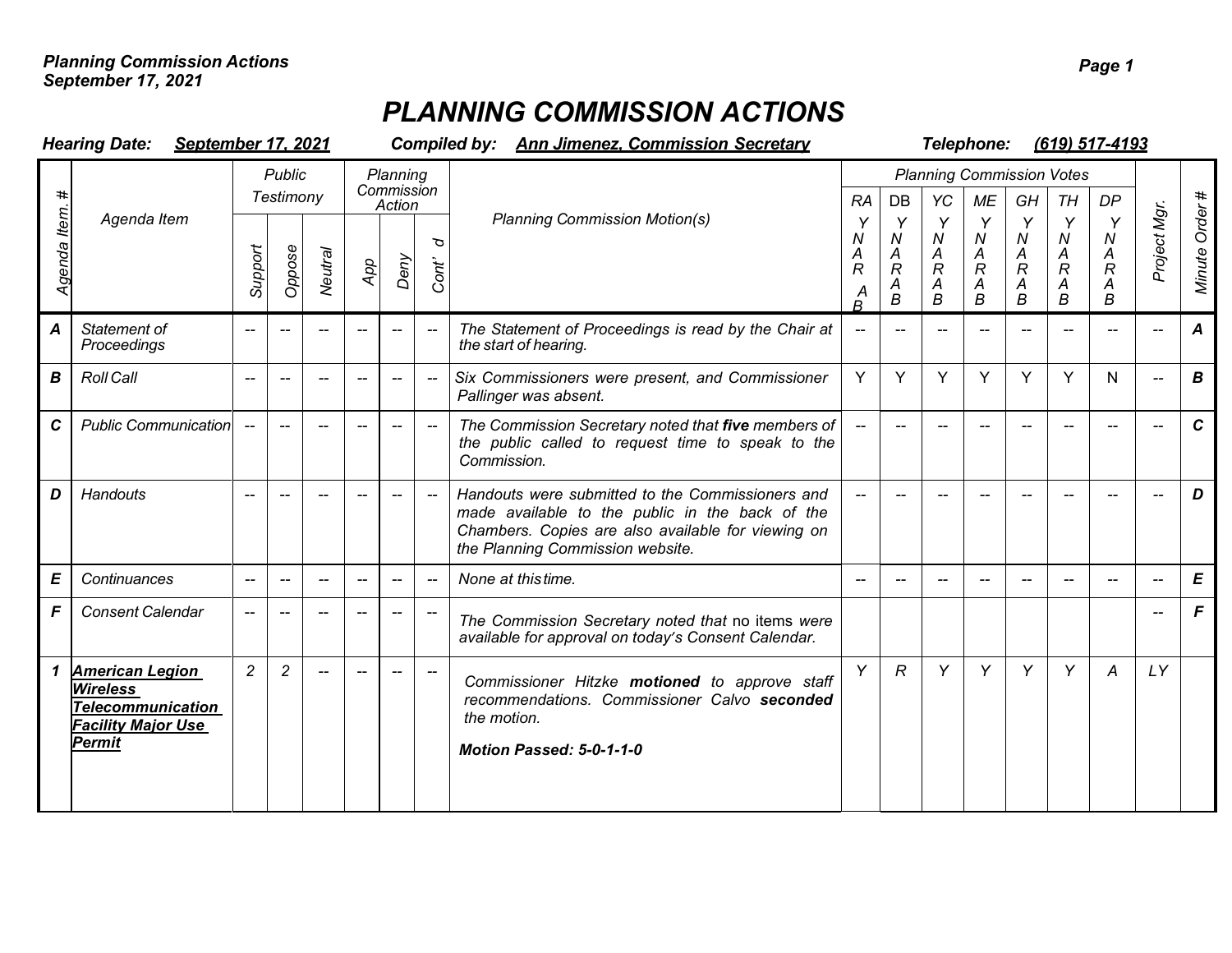## *PLANNING COMMISSION ACTIONS*

| <b>Hearing Date:</b><br>September 17, 2021 |                                                                                                                     |                          |                          |                          |                                  | <b>Ann Jimenez. Commission Secretary</b><br><b>Compiled by:</b> |                                                |                                                                                                                                                                                               |              |                                                        |                                                                      | Telephone:<br>(619) 517-4193                  |                                                                   |                                                                         |                                                |                          |                  |  |  |  |
|--------------------------------------------|---------------------------------------------------------------------------------------------------------------------|--------------------------|--------------------------|--------------------------|----------------------------------|-----------------------------------------------------------------|------------------------------------------------|-----------------------------------------------------------------------------------------------------------------------------------------------------------------------------------------------|--------------|--------------------------------------------------------|----------------------------------------------------------------------|-----------------------------------------------|-------------------------------------------------------------------|-------------------------------------------------------------------------|------------------------------------------------|--------------------------|------------------|--|--|--|
| ltem<br>Agenda                             |                                                                                                                     | Public<br>Testimony      |                          |                          | Planning<br>Commission<br>Action |                                                                 |                                                |                                                                                                                                                                                               | RA           | <b>DB</b>                                              | YC                                                                   | <b>Planning Commission Votes</b><br><b>ME</b> | GH                                                                | TH                                                                      | DP                                             |                          |                  |  |  |  |
|                                            | Agenda Item                                                                                                         | Support                  | Oppose                   | <b>Neutral</b>           | App                              | Deny                                                            | ত<br>Cont'                                     | <b>Planning Commission Motion(s)</b>                                                                                                                                                          |              | Y<br>$\boldsymbol{N}$<br>A<br>$\overline{R}$<br>A<br>B | Y<br>N<br>$\boldsymbol{A}$<br>$\mathcal{R}$<br>$\boldsymbol{A}$<br>B | Y<br>${\cal N}$<br>$\frac{A}{R}$<br>A<br>B    | Y<br>$\boldsymbol{N}$<br>A<br>$\ddot{R}$<br>$\boldsymbol{A}$<br>B | Y<br>$\boldsymbol{N}$<br>$\frac{A}{R}$<br>$\overline{\mathcal{A}}$<br>B | Y<br>N<br>$\frac{A}{R}$<br>$\overline{A}$<br>B | Project Mgr.             | Minute Order#    |  |  |  |
| $\boldsymbol{A}$                           | Statement of<br>Proceedings                                                                                         | $-$                      |                          |                          |                                  |                                                                 |                                                | The Statement of Proceedings is read by the Chair at<br>the start of hearing.                                                                                                                 | $\mathbf{u}$ |                                                        |                                                                      |                                               |                                                                   |                                                                         |                                                |                          | $\boldsymbol{A}$ |  |  |  |
| B                                          | <b>Roll Call</b>                                                                                                    | $\overline{\phantom{a}}$ | $\overline{\phantom{a}}$ | $\overline{\phantom{a}}$ | $\overline{\phantom{a}}$         | $\hspace{0.05cm}-\hspace{0.05cm}-\hspace{0.05cm}$               | $\overline{\phantom{m}}$                       | Six Commissioners were present, and Commissioner<br>Pallinger was absent.                                                                                                                     | Y            | Y                                                      | Y                                                                    | Y                                             | Y                                                                 | Y                                                                       | N                                              | $\overline{\phantom{0}}$ | $\boldsymbol{B}$ |  |  |  |
| $\mathbf c$                                | <b>Public Communication</b>                                                                                         |                          | --                       |                          | $\overline{\phantom{a}}$         | $-$                                                             | $\hspace{0.1mm}-\hspace{0.1mm}-\hspace{0.1mm}$ | The Commission Secretary noted that five members of<br>the public called to request time to speak to the<br>Commission.                                                                       |              | $-$                                                    |                                                                      | $\overline{\phantom{a}}$                      |                                                                   |                                                                         |                                                |                          | $\mathbf c$      |  |  |  |
| D                                          | <b>Handouts</b>                                                                                                     |                          |                          |                          |                                  |                                                                 |                                                | Handouts were submitted to the Commissioners and<br>made available to the public in the back of the<br>Chambers. Copies are also available for viewing on<br>the Planning Commission website. |              |                                                        |                                                                      |                                               |                                                                   |                                                                         |                                                |                          | D                |  |  |  |
| E                                          | Continuances                                                                                                        | $\overline{\phantom{0}}$ | $\overline{\phantom{0}}$ |                          | $\overline{\phantom{a}}$         | $\overline{\phantom{a}}$                                        |                                                | None at this time.                                                                                                                                                                            |              |                                                        |                                                                      |                                               |                                                                   |                                                                         |                                                |                          | E                |  |  |  |
| F                                          | <b>Consent Calendar</b>                                                                                             |                          |                          |                          |                                  |                                                                 |                                                | The Commission Secretary noted that no items were<br>available for approval on today's Consent Calendar.                                                                                      |              |                                                        |                                                                      |                                               |                                                                   |                                                                         |                                                |                          | F                |  |  |  |
| 1                                          | <b>American Legion</b><br><b>Wireless</b><br><b>Telecommunication</b><br><b>Facility Major Use</b><br><b>Permit</b> | $\overline{c}$           | 2                        |                          |                                  |                                                                 |                                                | Commissioner Hitzke motioned to approve staff<br>recommendations. Commissioner Calvo seconded<br>the motion.<br><b>Motion Passed: 5-0-1-1-0</b>                                               | Y            | R                                                      | Y                                                                    | Y                                             | Y                                                                 | Y                                                                       | Α                                              | LY                       |                  |  |  |  |